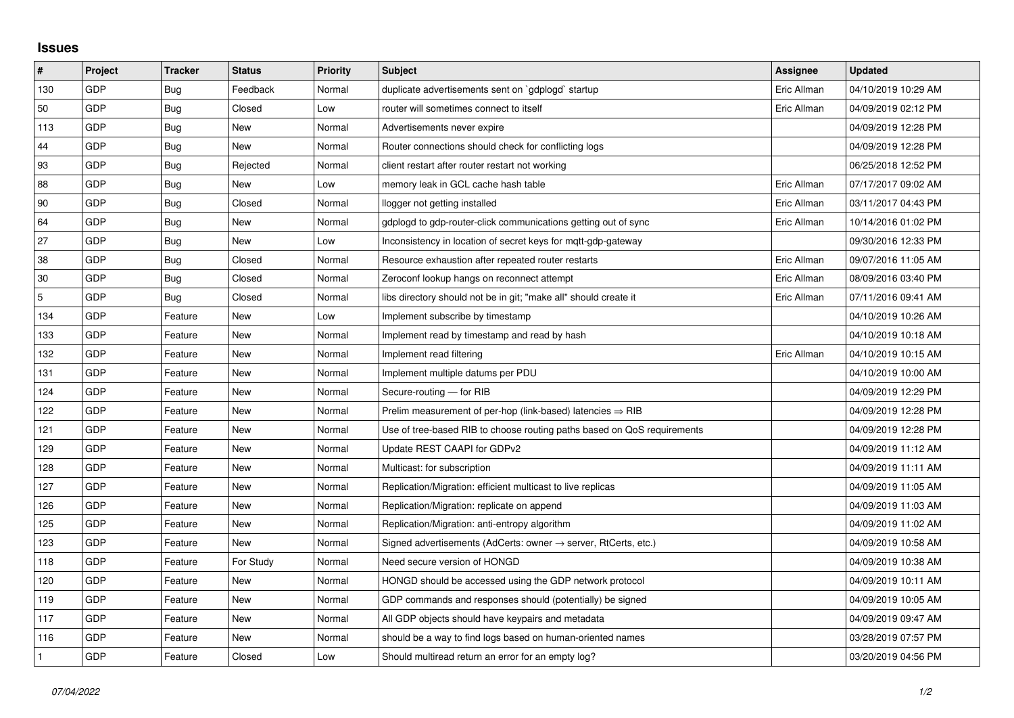## **Issues**

| #   | Project | <b>Tracker</b> | <b>Status</b> | <b>Priority</b> | <b>Subject</b>                                                             | <b>Assignee</b> | <b>Updated</b>      |
|-----|---------|----------------|---------------|-----------------|----------------------------------------------------------------------------|-----------------|---------------------|
| 130 | GDP     | Bug            | Feedback      | Normal          | duplicate advertisements sent on `gdplogd` startup                         | Eric Allman     | 04/10/2019 10:29 AM |
| 50  | GDP     | Bug            | Closed        | Low             | router will sometimes connect to itself                                    | Eric Allman     | 04/09/2019 02:12 PM |
| 113 | GDP     | Bug            | New           | Normal          | Advertisements never expire                                                |                 | 04/09/2019 12:28 PM |
| 44  | GDP     | <b>Bug</b>     | <b>New</b>    | Normal          | Router connections should check for conflicting logs                       |                 | 04/09/2019 12:28 PM |
| 93  | GDP     | <b>Bug</b>     | Rejected      | Normal          | client restart after router restart not working                            |                 | 06/25/2018 12:52 PM |
| 88  | GDP     | Bug            | New           | Low             | memory leak in GCL cache hash table                                        | Eric Allman     | 07/17/2017 09:02 AM |
| 90  | GDP     | <b>Bug</b>     | Closed        | Normal          | llogger not getting installed                                              | Eric Allman     | 03/11/2017 04:43 PM |
| 64  | GDP     | Bug            | New           | Normal          | gdplogd to gdp-router-click communications getting out of sync             | Eric Allman     | 10/14/2016 01:02 PM |
| 27  | GDP     | Bug            | New           | Low             | Inconsistency in location of secret keys for mgtt-gdp-gateway              |                 | 09/30/2016 12:33 PM |
| 38  | GDP     | <b>Bug</b>     | Closed        | Normal          | Resource exhaustion after repeated router restarts                         | Eric Allman     | 09/07/2016 11:05 AM |
| 30  | GDP     | <b>Bug</b>     | Closed        | Normal          | Zeroconf lookup hangs on reconnect attempt                                 | Eric Allman     | 08/09/2016 03:40 PM |
| 5   | GDP     | Bug            | Closed        | Normal          | libs directory should not be in git; "make all" should create it           | Eric Allman     | 07/11/2016 09:41 AM |
| 134 | GDP     | Feature        | New           | Low             | Implement subscribe by timestamp                                           |                 | 04/10/2019 10:26 AM |
| 133 | GDP     | Feature        | New           | Normal          | Implement read by timestamp and read by hash                               |                 | 04/10/2019 10:18 AM |
| 132 | GDP     | Feature        | New           | Normal          | Implement read filtering                                                   | Eric Allman     | 04/10/2019 10:15 AM |
| 131 | GDP     | Feature        | New           | Normal          | Implement multiple datums per PDU                                          |                 | 04/10/2019 10:00 AM |
| 124 | GDP     | Feature        | <b>New</b>    | Normal          | Secure-routing - for RIB                                                   |                 | 04/09/2019 12:29 PM |
| 122 | GDP     | Feature        | New           | Normal          | Prelim measurement of per-hop (link-based) latencies $\Rightarrow$ RIB     |                 | 04/09/2019 12:28 PM |
| 121 | GDP     | Feature        | New           | Normal          | Use of tree-based RIB to choose routing paths based on QoS requirements    |                 | 04/09/2019 12:28 PM |
| 129 | GDP     | Feature        | New           | Normal          | Update REST CAAPI for GDPv2                                                |                 | 04/09/2019 11:12 AM |
| 128 | GDP     | Feature        | New           | Normal          | Multicast: for subscription                                                |                 | 04/09/2019 11:11 AM |
| 127 | GDP     | Feature        | New           | Normal          | Replication/Migration: efficient multicast to live replicas                |                 | 04/09/2019 11:05 AM |
| 126 | GDP     | Feature        | <b>New</b>    | Normal          | Replication/Migration: replicate on append                                 |                 | 04/09/2019 11:03 AM |
| 125 | GDP     | Feature        | New           | Normal          | Replication/Migration: anti-entropy algorithm                              |                 | 04/09/2019 11:02 AM |
| 123 | GDP     | Feature        | New           | Normal          | Signed advertisements (AdCerts: owner $\rightarrow$ server, RtCerts, etc.) |                 | 04/09/2019 10:58 AM |
| 118 | GDP     | Feature        | For Study     | Normal          | Need secure version of HONGD                                               |                 | 04/09/2019 10:38 AM |
| 120 | GDP     | Feature        | New           | Normal          | HONGD should be accessed using the GDP network protocol                    |                 | 04/09/2019 10:11 AM |
| 119 | GDP     | Feature        | New           | Normal          | GDP commands and responses should (potentially) be signed                  |                 | 04/09/2019 10:05 AM |
| 117 | GDP     | Feature        | New           | Normal          | All GDP objects should have keypairs and metadata                          |                 | 04/09/2019 09:47 AM |
| 116 | GDP     | Feature        | <b>New</b>    | Normal          | should be a way to find logs based on human-oriented names                 |                 | 03/28/2019 07:57 PM |
|     | GDP     | Feature        | Closed        | Low             | Should multiread return an error for an empty log?                         |                 | 03/20/2019 04:56 PM |